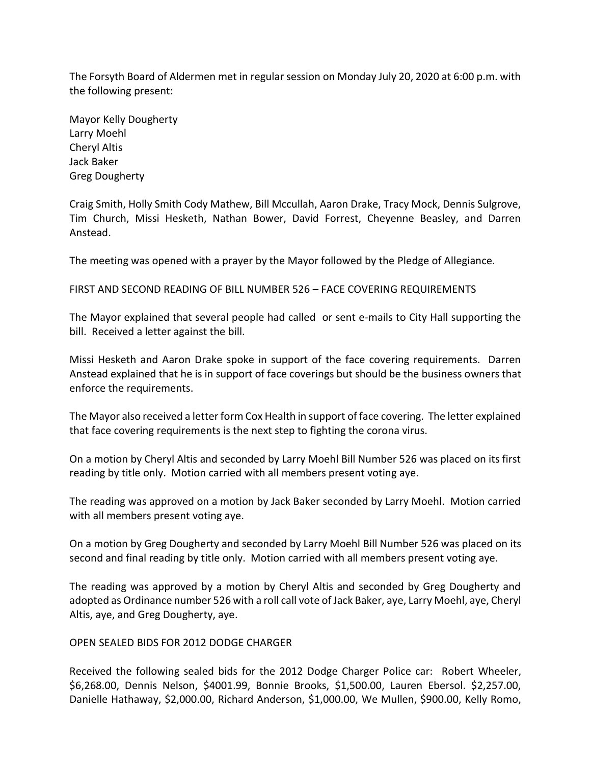The Forsyth Board of Aldermen met in regular session on Monday July 20, 2020 at 6:00 p.m. with the following present:

Mayor Kelly Dougherty Larry Moehl Cheryl Altis Jack Baker Greg Dougherty

Craig Smith, Holly Smith Cody Mathew, Bill Mccullah, Aaron Drake, Tracy Mock, Dennis Sulgrove, Tim Church, Missi Hesketh, Nathan Bower, David Forrest, Cheyenne Beasley, and Darren Anstead.

The meeting was opened with a prayer by the Mayor followed by the Pledge of Allegiance.

FIRST AND SECOND READING OF BILL NUMBER 526 – FACE COVERING REQUIREMENTS

The Mayor explained that several people had called or sent e-mails to City Hall supporting the bill. Received a letter against the bill.

Missi Hesketh and Aaron Drake spoke in support of the face covering requirements. Darren Anstead explained that he is in support of face coverings but should be the business owners that enforce the requirements.

The Mayor also received a letter form Cox Health in support of face covering. The letter explained that face covering requirements is the next step to fighting the corona virus.

On a motion by Cheryl Altis and seconded by Larry Moehl Bill Number 526 was placed on its first reading by title only. Motion carried with all members present voting aye.

The reading was approved on a motion by Jack Baker seconded by Larry Moehl. Motion carried with all members present voting aye.

On a motion by Greg Dougherty and seconded by Larry Moehl Bill Number 526 was placed on its second and final reading by title only. Motion carried with all members present voting aye.

The reading was approved by a motion by Cheryl Altis and seconded by Greg Dougherty and adopted as Ordinance number 526 with a roll call vote of Jack Baker, aye, Larry Moehl, aye, Cheryl Altis, aye, and Greg Dougherty, aye.

## OPEN SEALED BIDS FOR 2012 DODGE CHARGER

Received the following sealed bids for the 2012 Dodge Charger Police car: Robert Wheeler, \$6,268.00, Dennis Nelson, \$4001.99, Bonnie Brooks, \$1,500.00, Lauren Ebersol. \$2,257.00, Danielle Hathaway, \$2,000.00, Richard Anderson, \$1,000.00, We Mullen, \$900.00, Kelly Romo,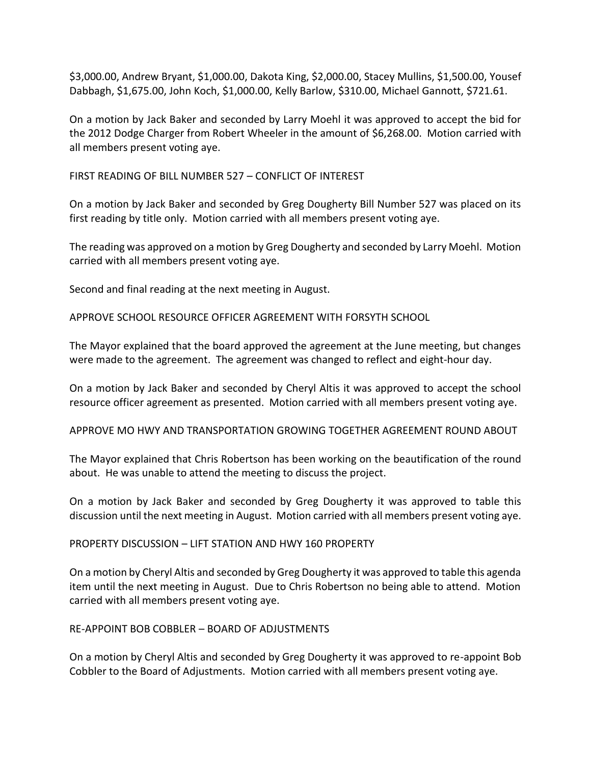\$3,000.00, Andrew Bryant, \$1,000.00, Dakota King, \$2,000.00, Stacey Mullins, \$1,500.00, Yousef Dabbagh, \$1,675.00, John Koch, \$1,000.00, Kelly Barlow, \$310.00, Michael Gannott, \$721.61.

On a motion by Jack Baker and seconded by Larry Moehl it was approved to accept the bid for the 2012 Dodge Charger from Robert Wheeler in the amount of \$6,268.00. Motion carried with all members present voting aye.

FIRST READING OF BILL NUMBER 527 – CONFLICT OF INTEREST

On a motion by Jack Baker and seconded by Greg Dougherty Bill Number 527 was placed on its first reading by title only. Motion carried with all members present voting aye.

The reading was approved on a motion by Greg Dougherty and seconded by Larry Moehl. Motion carried with all members present voting aye.

Second and final reading at the next meeting in August.

APPROVE SCHOOL RESOURCE OFFICER AGREEMENT WITH FORSYTH SCHOOL

The Mayor explained that the board approved the agreement at the June meeting, but changes were made to the agreement. The agreement was changed to reflect and eight-hour day.

On a motion by Jack Baker and seconded by Cheryl Altis it was approved to accept the school resource officer agreement as presented. Motion carried with all members present voting aye.

APPROVE MO HWY AND TRANSPORTATION GROWING TOGETHER AGREEMENT ROUND ABOUT

The Mayor explained that Chris Robertson has been working on the beautification of the round about. He was unable to attend the meeting to discuss the project.

On a motion by Jack Baker and seconded by Greg Dougherty it was approved to table this discussion until the next meeting in August. Motion carried with all members present voting aye.

## PROPERTY DISCUSSION – LIFT STATION AND HWY 160 PROPERTY

On a motion by Cheryl Altis and seconded by Greg Dougherty it was approved to table this agenda item until the next meeting in August. Due to Chris Robertson no being able to attend. Motion carried with all members present voting aye.

## RE-APPOINT BOB COBBLER – BOARD OF ADJUSTMENTS

On a motion by Cheryl Altis and seconded by Greg Dougherty it was approved to re-appoint Bob Cobbler to the Board of Adjustments. Motion carried with all members present voting aye.